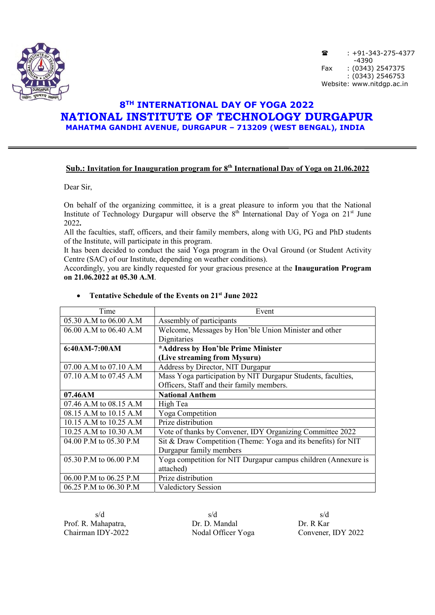

 $\hat{a}$  : +91-343-275-4377 -4390<br>Fax: (0343)  $: (0343)$  2547375 : (0343) 2546753 Website: www.nitdgp.ac.in

## 8TH INTERNATIONAL DAY OF YOGA 2022 NATIONAL INSTITUTE OF TECHNOLOGY DURGAPUR MAHATMA GANDHI AVENUE, DURGAPUR – 713209 (WEST BENGAL), INDIA

### Sub.: Invitation for Inauguration program for 8<sup>th</sup> International Day of Yoga on 21.06.2022

Dear Sir,

On behalf of the organizing committee, it is a great pleasure to inform you that the National Institute of Technology Durgapur will observe the  $8<sup>th</sup>$  International Day of Yoga on 21<sup>st</sup> June 2022.

All the faculties, staff, officers, and their family members, along with UG, PG and PhD students of the Institute, will participate in this program.

It has been decided to conduct the said Yoga program in the Oval Ground (or Student Activity Centre (SAC) of our Institute, depending on weather conditions).

Accordingly, you are kindly requested for your gracious presence at the Inauguration Program on 21.06.2022 at 05.30 A.M.

| Time                       | Event                                                          |
|----------------------------|----------------------------------------------------------------|
| 05.30 A.M to 06.00 A.M     | Assembly of participants                                       |
| 06.00 A.M to 06.40 A.M     | Welcome, Messages by Hon'ble Union Minister and other          |
|                            | Dignitaries                                                    |
| 6:40AM-7:00AM              | *Address by Hon'ble Prime Minister                             |
|                            | (Live streaming from Mysuru)                                   |
| $07.00$ A.M to $07.10$ A.M | Address by Director, NIT Durgapur                              |
| 07.10 A.M to 07.45 A.M     | Mass Yoga participation by NIT Durgapur Students, faculties,   |
|                            | Officers, Staff and their family members.                      |
| 07.46AM                    | <b>National Anthem</b>                                         |
| 07.46 A.M to 08.15 A.M     | High Tea                                                       |
| 08.15 A.M to 10.15 A.M     | Yoga Competition                                               |
| 10.15 A.M to 10.25 A.M     | Prize distribution                                             |
| 10.25 A.M to 10.30 A.M     | Vote of thanks by Convener, IDY Organizing Committee 2022      |
| 04.00 P.M to 05.30 P.M     | Sit & Draw Competition (Theme: Yoga and its benefits) for NIT  |
|                            | Durgapur family members                                        |
| 05.30 P.M to 06.00 P.M     | Yoga competition for NIT Durgapur campus children (Annexure is |
|                            | attached)                                                      |
| 06.00 P.M to 06.25 P.M     | Prize distribution                                             |
| 06.25 P.M to 06.30 P.M     | Valedictory Session                                            |

#### • Tentative Schedule of the Events on  $21<sup>st</sup>$  June 2022

Prof. R. Mahapatra, **D. D. Mandal** Dr. R. Kar<br>Chairman IDY-2022 Nodal Officer Yoga Convener.

 $s/d$  s/d s/d Nodal Officer Yoga Convener, IDY 2022